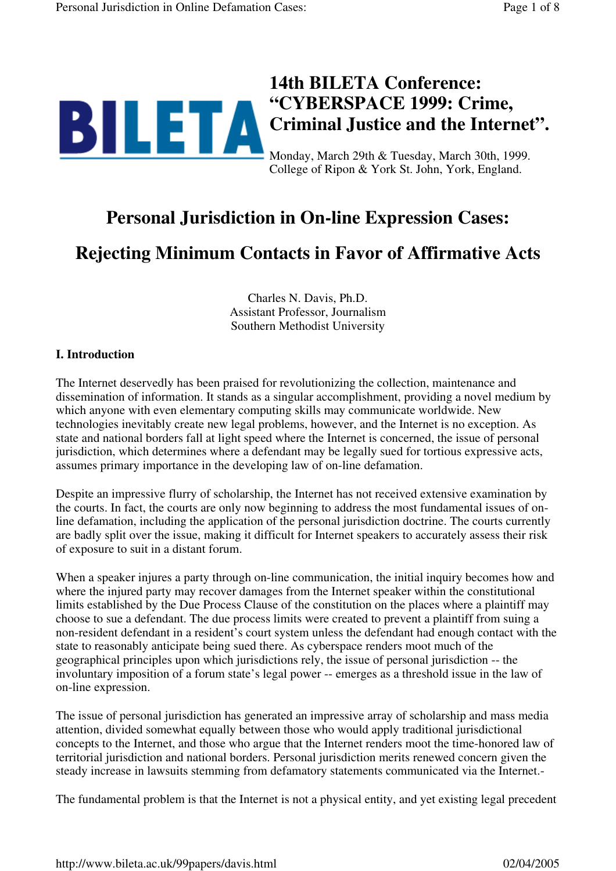

College of Ripon & York St. John, York, England.

## **Personal Jurisdiction in On-line Expression Cases:**

# **Rejecting Minimum Contacts in Favor of Affirmative Acts**

Charles N. Davis, Ph.D. Assistant Professor, Journalism Southern Methodist University

## **I. Introduction**

The Internet deservedly has been praised for revolutionizing the collection, maintenance and dissemination of information. It stands as a singular accomplishment, providing a novel medium by which anyone with even elementary computing skills may communicate worldwide. New technologies inevitably create new legal problems, however, and the Internet is no exception. As state and national borders fall at light speed where the Internet is concerned, the issue of personal jurisdiction, which determines where a defendant may be legally sued for tortious expressive acts, assumes primary importance in the developing law of on-line defamation.

Despite an impressive flurry of scholarship, the Internet has not received extensive examination by the courts. In fact, the courts are only now beginning to address the most fundamental issues of online defamation, including the application of the personal jurisdiction doctrine. The courts currently are badly split over the issue, making it difficult for Internet speakers to accurately assess their risk of exposure to suit in a distant forum.

When a speaker injures a party through on-line communication, the initial inquiry becomes how and where the injured party may recover damages from the Internet speaker within the constitutional limits established by the Due Process Clause of the constitution on the places where a plaintiff may choose to sue a defendant. The due process limits were created to prevent a plaintiff from suing a non-resident defendant in a resident's court system unless the defendant had enough contact with the state to reasonably anticipate being sued there. As cyberspace renders moot much of the geographical principles upon which jurisdictions rely, the issue of personal jurisdiction -- the involuntary imposition of a forum state's legal power -- emerges as a threshold issue in the law of on-line expression.

The issue of personal jurisdiction has generated an impressive array of scholarship and mass media attention, divided somewhat equally between those who would apply traditional jurisdictional concepts to the Internet, and those who argue that the Internet renders moot the time-honored law of territorial jurisdiction and national borders. Personal jurisdiction merits renewed concern given the steady increase in lawsuits stemming from defamatory statements communicated via the Internet.-

The fundamental problem is that the Internet is not a physical entity, and yet existing legal precedent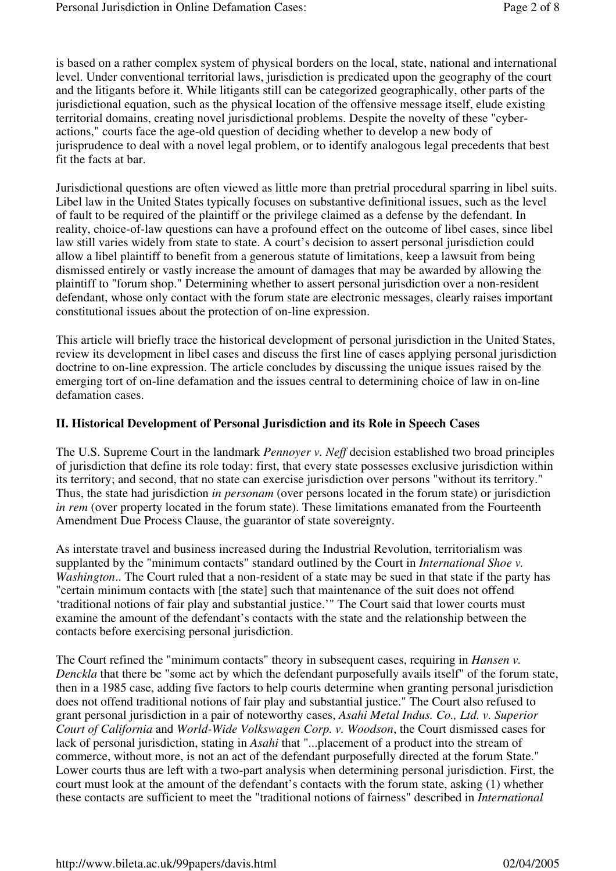is based on a rather complex system of physical borders on the local, state, national and international level. Under conventional territorial laws, jurisdiction is predicated upon the geography of the court and the litigants before it. While litigants still can be categorized geographically, other parts of the jurisdictional equation, such as the physical location of the offensive message itself, elude existing territorial domains, creating novel jurisdictional problems. Despite the novelty of these "cyberactions," courts face the age-old question of deciding whether to develop a new body of jurisprudence to deal with a novel legal problem, or to identify analogous legal precedents that best fit the facts at bar.

Jurisdictional questions are often viewed as little more than pretrial procedural sparring in libel suits. Libel law in the United States typically focuses on substantive definitional issues, such as the level of fault to be required of the plaintiff or the privilege claimed as a defense by the defendant. In reality, choice-of-law questions can have a profound effect on the outcome of libel cases, since libel law still varies widely from state to state. A court's decision to assert personal jurisdiction could allow a libel plaintiff to benefit from a generous statute of limitations, keep a lawsuit from being dismissed entirely or vastly increase the amount of damages that may be awarded by allowing the plaintiff to "forum shop." Determining whether to assert personal jurisdiction over a non-resident defendant, whose only contact with the forum state are electronic messages, clearly raises important constitutional issues about the protection of on-line expression.

This article will briefly trace the historical development of personal jurisdiction in the United States, review its development in libel cases and discuss the first line of cases applying personal jurisdiction doctrine to on-line expression. The article concludes by discussing the unique issues raised by the emerging tort of on-line defamation and the issues central to determining choice of law in on-line defamation cases.

#### **II. Historical Development of Personal Jurisdiction and its Role in Speech Cases**

The U.S. Supreme Court in the landmark *Pennoyer v. Neff* decision established two broad principles of jurisdiction that define its role today: first, that every state possesses exclusive jurisdiction within its territory; and second, that no state can exercise jurisdiction over persons "without its territory." Thus, the state had jurisdiction *in personam* (over persons located in the forum state) or jurisdiction *in rem* (over property located in the forum state). These limitations emanated from the Fourteenth Amendment Due Process Clause, the guarantor of state sovereignty.

As interstate travel and business increased during the Industrial Revolution, territorialism was supplanted by the "minimum contacts" standard outlined by the Court in *International Shoe v. Washington*.. The Court ruled that a non-resident of a state may be sued in that state if the party has "certain minimum contacts with [the state] such that maintenance of the suit does not offend 'traditional notions of fair play and substantial justice.'" The Court said that lower courts must examine the amount of the defendant's contacts with the state and the relationship between the contacts before exercising personal jurisdiction.

The Court refined the "minimum contacts" theory in subsequent cases, requiring in *Hansen v. Denckla* that there be "some act by which the defendant purposefully avails itself" of the forum state, then in a 1985 case, adding five factors to help courts determine when granting personal jurisdiction does not offend traditional notions of fair play and substantial justice." The Court also refused to grant personal jurisdiction in a pair of noteworthy cases, *Asahi Metal Indus. Co., Ltd. v. Superior Court of California* and *World-Wide Volkswagen Corp. v. Woodson*, the Court dismissed cases for lack of personal jurisdiction, stating in *Asahi* that "...placement of a product into the stream of commerce, without more, is not an act of the defendant purposefully directed at the forum State." Lower courts thus are left with a two-part analysis when determining personal jurisdiction. First, the court must look at the amount of the defendant's contacts with the forum state, asking (1) whether these contacts are sufficient to meet the "traditional notions of fairness" described in *International*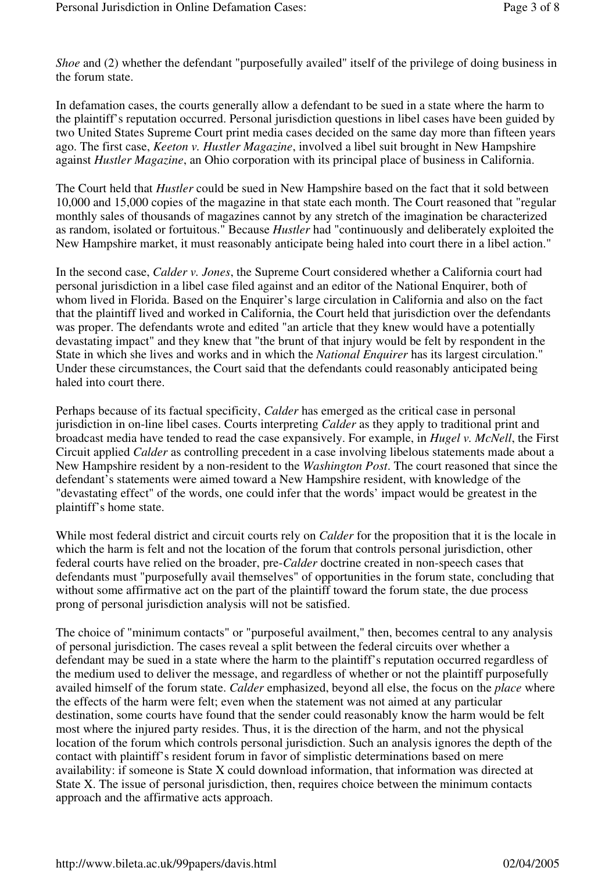*Shoe* and (2) whether the defendant "purposefully availed" itself of the privilege of doing business in the forum state.

In defamation cases, the courts generally allow a defendant to be sued in a state where the harm to the plaintiff's reputation occurred. Personal jurisdiction questions in libel cases have been guided by two United States Supreme Court print media cases decided on the same day more than fifteen years ago. The first case, *Keeton v. Hustler Magazine*, involved a libel suit brought in New Hampshire against *Hustler Magazine*, an Ohio corporation with its principal place of business in California.

The Court held that *Hustler* could be sued in New Hampshire based on the fact that it sold between 10,000 and 15,000 copies of the magazine in that state each month. The Court reasoned that "regular monthly sales of thousands of magazines cannot by any stretch of the imagination be characterized as random, isolated or fortuitous." Because *Hustler* had "continuously and deliberately exploited the New Hampshire market, it must reasonably anticipate being haled into court there in a libel action."

In the second case, *Calder v. Jones*, the Supreme Court considered whether a California court had personal jurisdiction in a libel case filed against and an editor of the National Enquirer, both of whom lived in Florida. Based on the Enquirer's large circulation in California and also on the fact that the plaintiff lived and worked in California, the Court held that jurisdiction over the defendants was proper. The defendants wrote and edited "an article that they knew would have a potentially devastating impact" and they knew that "the brunt of that injury would be felt by respondent in the State in which she lives and works and in which the *National Enquirer* has its largest circulation." Under these circumstances, the Court said that the defendants could reasonably anticipated being haled into court there.

Perhaps because of its factual specificity, *Calder* has emerged as the critical case in personal jurisdiction in on-line libel cases. Courts interpreting *Calder* as they apply to traditional print and broadcast media have tended to read the case expansively. For example, in *Hugel v. McNell*, the First Circuit applied *Calder* as controlling precedent in a case involving libelous statements made about a New Hampshire resident by a non-resident to the *Washington Post*. The court reasoned that since the defendant's statements were aimed toward a New Hampshire resident, with knowledge of the "devastating effect" of the words, one could infer that the words' impact would be greatest in the plaintiff's home state.

While most federal district and circuit courts rely on *Calder* for the proposition that it is the locale in which the harm is felt and not the location of the forum that controls personal jurisdiction, other federal courts have relied on the broader, pre-*Calder* doctrine created in non-speech cases that defendants must "purposefully avail themselves" of opportunities in the forum state, concluding that without some affirmative act on the part of the plaintiff toward the forum state, the due process prong of personal jurisdiction analysis will not be satisfied.

The choice of "minimum contacts" or "purposeful availment," then, becomes central to any analysis of personal jurisdiction. The cases reveal a split between the federal circuits over whether a defendant may be sued in a state where the harm to the plaintiff's reputation occurred regardless of the medium used to deliver the message, and regardless of whether or not the plaintiff purposefully availed himself of the forum state. *Calder* emphasized, beyond all else, the focus on the *place* where the effects of the harm were felt; even when the statement was not aimed at any particular destination, some courts have found that the sender could reasonably know the harm would be felt most where the injured party resides. Thus, it is the direction of the harm, and not the physical location of the forum which controls personal jurisdiction. Such an analysis ignores the depth of the contact with plaintiff's resident forum in favor of simplistic determinations based on mere availability: if someone is State X could download information, that information was directed at State X. The issue of personal jurisdiction, then, requires choice between the minimum contacts approach and the affirmative acts approach.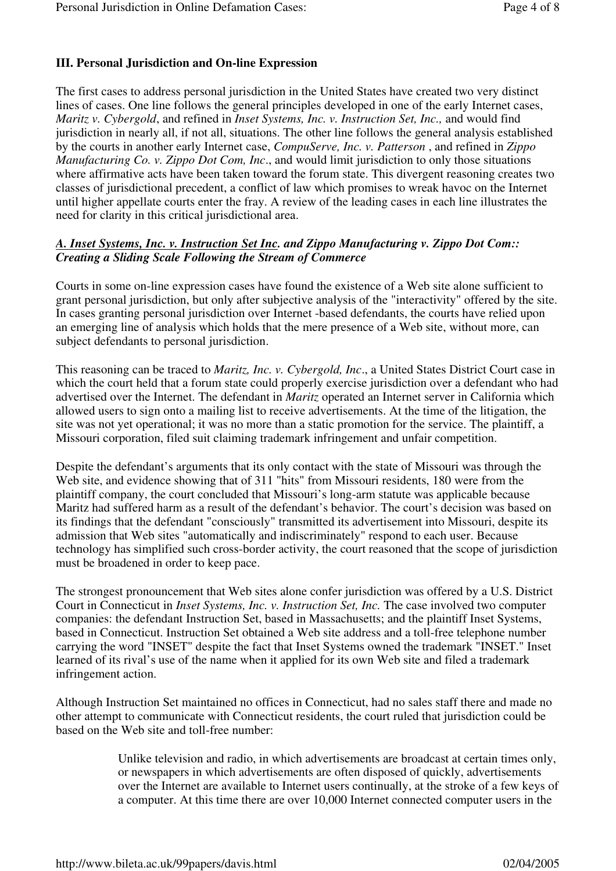### **III. Personal Jurisdiction and On-line Expression**

The first cases to address personal jurisdiction in the United States have created two very distinct lines of cases. One line follows the general principles developed in one of the early Internet cases, *Maritz v. Cybergold*, and refined in *Inset Systems, Inc. v. Instruction Set, Inc.,* and would find jurisdiction in nearly all, if not all, situations. The other line follows the general analysis established by the courts in another early Internet case, *CompuServe, Inc. v. Patterson* , and refined in *Zippo Manufacturing Co. v. Zippo Dot Com, Inc*., and would limit jurisdiction to only those situations where affirmative acts have been taken toward the forum state. This divergent reasoning creates two classes of jurisdictional precedent, a conflict of law which promises to wreak havoc on the Internet until higher appellate courts enter the fray. A review of the leading cases in each line illustrates the need for clarity in this critical jurisdictional area.

#### *A. Inset Systems, Inc. v. Instruction Set Inc. and Zippo Manufacturing v. Zippo Dot Com:: Creating a Sliding Scale Following the Stream of Commerce*

Courts in some on-line expression cases have found the existence of a Web site alone sufficient to grant personal jurisdiction, but only after subjective analysis of the "interactivity" offered by the site. In cases granting personal jurisdiction over Internet -based defendants, the courts have relied upon an emerging line of analysis which holds that the mere presence of a Web site, without more, can subject defendants to personal jurisdiction.

This reasoning can be traced to *Maritz, Inc. v. Cybergold, Inc*., a United States District Court case in which the court held that a forum state could properly exercise jurisdiction over a defendant who had advertised over the Internet. The defendant in *Maritz* operated an Internet server in California which allowed users to sign onto a mailing list to receive advertisements. At the time of the litigation, the site was not yet operational; it was no more than a static promotion for the service. The plaintiff, a Missouri corporation, filed suit claiming trademark infringement and unfair competition.

Despite the defendant's arguments that its only contact with the state of Missouri was through the Web site, and evidence showing that of 311 "hits" from Missouri residents, 180 were from the plaintiff company, the court concluded that Missouri's long-arm statute was applicable because Maritz had suffered harm as a result of the defendant's behavior. The court's decision was based on its findings that the defendant "consciously" transmitted its advertisement into Missouri, despite its admission that Web sites "automatically and indiscriminately" respond to each user. Because technology has simplified such cross-border activity, the court reasoned that the scope of jurisdiction must be broadened in order to keep pace.

The strongest pronouncement that Web sites alone confer jurisdiction was offered by a U.S. District Court in Connecticut in *Inset Systems, Inc. v. Instruction Set, Inc.* The case involved two computer companies: the defendant Instruction Set, based in Massachusetts; and the plaintiff Inset Systems, based in Connecticut. Instruction Set obtained a Web site address and a toll-free telephone number carrying the word "INSET" despite the fact that Inset Systems owned the trademark "INSET." Inset learned of its rival's use of the name when it applied for its own Web site and filed a trademark infringement action.

Although Instruction Set maintained no offices in Connecticut, had no sales staff there and made no other attempt to communicate with Connecticut residents, the court ruled that jurisdiction could be based on the Web site and toll-free number:

> Unlike television and radio, in which advertisements are broadcast at certain times only, or newspapers in which advertisements are often disposed of quickly, advertisements over the Internet are available to Internet users continually, at the stroke of a few keys of a computer. At this time there are over 10,000 Internet connected computer users in the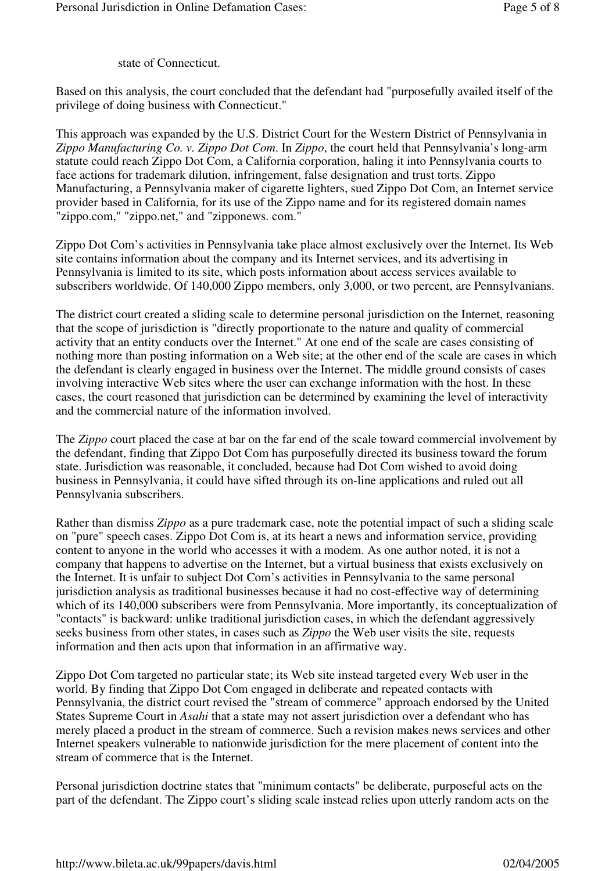state of Connecticut.

Based on this analysis, the court concluded that the defendant had "purposefully availed itself of the privilege of doing business with Connecticut."

This approach was expanded by the U.S. District Court for the Western District of Pennsylvania in *Zippo Manufacturing Co. v. Zippo Dot Com*. In *Zippo*, the court held that Pennsylvania's long-arm statute could reach Zippo Dot Com, a California corporation, haling it into Pennsylvania courts to face actions for trademark dilution, infringement, false designation and trust torts. Zippo Manufacturing, a Pennsylvania maker of cigarette lighters, sued Zippo Dot Com, an Internet service provider based in California, for its use of the Zippo name and for its registered domain names "zippo.com," "zippo.net," and "zipponews. com."

Zippo Dot Com's activities in Pennsylvania take place almost exclusively over the Internet. Its Web site contains information about the company and its Internet services, and its advertising in Pennsylvania is limited to its site, which posts information about access services available to subscribers worldwide. Of 140,000 Zippo members, only 3,000, or two percent, are Pennsylvanians.

The district court created a sliding scale to determine personal jurisdiction on the Internet, reasoning that the scope of jurisdiction is "directly proportionate to the nature and quality of commercial activity that an entity conducts over the Internet." At one end of the scale are cases consisting of nothing more than posting information on a Web site; at the other end of the scale are cases in which the defendant is clearly engaged in business over the Internet. The middle ground consists of cases involving interactive Web sites where the user can exchange information with the host. In these cases, the court reasoned that jurisdiction can be determined by examining the level of interactivity and the commercial nature of the information involved.

The *Zippo* court placed the case at bar on the far end of the scale toward commercial involvement by the defendant, finding that Zippo Dot Com has purposefully directed its business toward the forum state. Jurisdiction was reasonable, it concluded, because had Dot Com wished to avoid doing business in Pennsylvania, it could have sifted through its on-line applications and ruled out all Pennsylvania subscribers.

Rather than dismiss *Zippo* as a pure trademark case, note the potential impact of such a sliding scale on "pure" speech cases. Zippo Dot Com is, at its heart a news and information service, providing content to anyone in the world who accesses it with a modem. As one author noted, it is not a company that happens to advertise on the Internet, but a virtual business that exists exclusively on the Internet. It is unfair to subject Dot Com's activities in Pennsylvania to the same personal jurisdiction analysis as traditional businesses because it had no cost-effective way of determining which of its 140,000 subscribers were from Pennsylvania. More importantly, its conceptualization of "contacts" is backward: unlike traditional jurisdiction cases, in which the defendant aggressively seeks business from other states, in cases such as *Zippo* the Web user visits the site, requests information and then acts upon that information in an affirmative way.

Zippo Dot Com targeted no particular state; its Web site instead targeted every Web user in the world. By finding that Zippo Dot Com engaged in deliberate and repeated contacts with Pennsylvania, the district court revised the "stream of commerce" approach endorsed by the United States Supreme Court in *Asahi* that a state may not assert jurisdiction over a defendant who has merely placed a product in the stream of commerce. Such a revision makes news services and other Internet speakers vulnerable to nationwide jurisdiction for the mere placement of content into the stream of commerce that is the Internet.

Personal jurisdiction doctrine states that "minimum contacts" be deliberate, purposeful acts on the part of the defendant. The Zippo court's sliding scale instead relies upon utterly random acts on the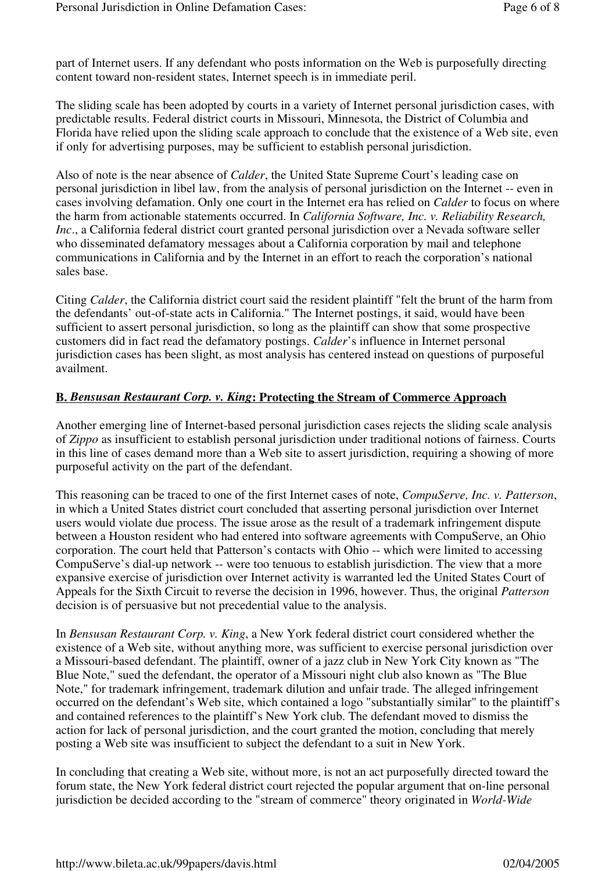part of Internet users. If any defendant who posts information on the Web is purposefully directing content toward non-resident states, Internet speech is in immediate peril.

The sliding scale has been adopted by courts in a variety of Internet personal jurisdiction cases, with predictable results. Federal district courts in Missouri, Minnesota, the District of Columbia and Florida have relied upon the sliding scale approach to conclude that the existence of a Web site, even if only for advertising purposes, may be sufficient to establish personal jurisdiction.

Also of note is the near absence of *Calder*, the United State Supreme Court's leading case on personal jurisdiction in libel law, from the analysis of personal jurisdiction on the Internet -- even in cases involving defamation. Only one court in the Internet era has relied on *Calder* to focus on where the harm from actionable statements occurred. In *California Software, Inc. v. Reliability Research, Inc*., a California federal district court granted personal jurisdiction over a Nevada software seller who disseminated defamatory messages about a California corporation by mail and telephone communications in California and by the Internet in an effort to reach the corporation's national sales base.

Citing *Calder*, the California district court said the resident plaintiff "felt the brunt of the harm from the defendants' out-of-state acts in California." The Internet postings, it said, would have been sufficient to assert personal jurisdiction, so long as the plaintiff can show that some prospective customers did in fact read the defamatory postings. *Calder*'s influence in Internet personal jurisdiction cases has been slight, as most analysis has centered instead on questions of purposeful availment.

#### **B.** *Bensusan Restaurant Corp. v. King***: Protecting the Stream of Commerce Approach**

Another emerging line of Internet-based personal jurisdiction cases rejects the sliding scale analysis of *Zippo* as insufficient to establish personal jurisdiction under traditional notions of fairness. Courts in this line of cases demand more than a Web site to assert jurisdiction, requiring a showing of more purposeful activity on the part of the defendant.

This reasoning can be traced to one of the first Internet cases of note, *CompuServe, Inc. v. Patterson*, in which a United States district court concluded that asserting personal jurisdiction over Internet users would violate due process. The issue arose as the result of a trademark infringement dispute between a Houston resident who had entered into software agreements with CompuServe, an Ohio corporation. The court held that Patterson's contacts with Ohio -- which were limited to accessing CompuServe's dial-up network -- were too tenuous to establish jurisdiction. The view that a more expansive exercise of jurisdiction over Internet activity is warranted led the United States Court of Appeals for the Sixth Circuit to reverse the decision in 1996, however. Thus, the original *Patterson*  decision is of persuasive but not precedential value to the analysis.

In *Bensusan Restaurant Corp. v. King*, a New York federal district court considered whether the existence of a Web site, without anything more, was sufficient to exercise personal jurisdiction over a Missouri-based defendant. The plaintiff, owner of a jazz club in New York City known as "The Blue Note," sued the defendant, the operator of a Missouri night club also known as "The Blue Note," for trademark infringement, trademark dilution and unfair trade. The alleged infringement occurred on the defendant's Web site, which contained a logo "substantially similar" to the plaintiff's and contained references to the plaintiff's New York club. The defendant moved to dismiss the action for lack of personal jurisdiction, and the court granted the motion, concluding that merely posting a Web site was insufficient to subject the defendant to a suit in New York.

In concluding that creating a Web site, without more, is not an act purposefully directed toward the forum state, the New York federal district court rejected the popular argument that on-line personal jurisdiction be decided according to the "stream of commerce" theory originated in *World-Wide*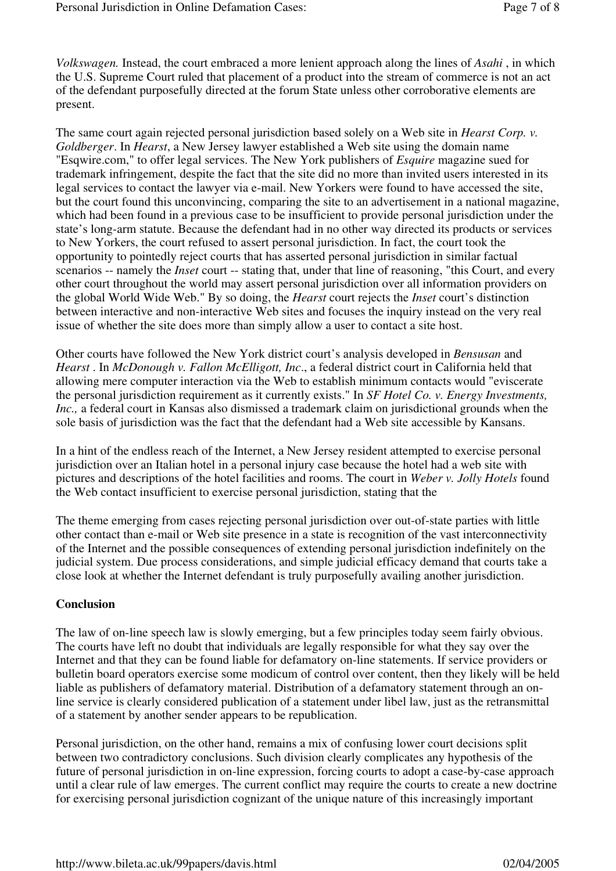*Volkswagen.* Instead, the court embraced a more lenient approach along the lines of *Asahi* , in which the U.S. Supreme Court ruled that placement of a product into the stream of commerce is not an act of the defendant purposefully directed at the forum State unless other corroborative elements are present.

The same court again rejected personal jurisdiction based solely on a Web site in *Hearst Corp. v. Goldberger*. In *Hearst*, a New Jersey lawyer established a Web site using the domain name "Esqwire.com," to offer legal services. The New York publishers of *Esquire* magazine sued for trademark infringement, despite the fact that the site did no more than invited users interested in its legal services to contact the lawyer via e-mail. New Yorkers were found to have accessed the site, but the court found this unconvincing, comparing the site to an advertisement in a national magazine, which had been found in a previous case to be insufficient to provide personal jurisdiction under the state's long-arm statute. Because the defendant had in no other way directed its products or services to New Yorkers, the court refused to assert personal jurisdiction. In fact, the court took the opportunity to pointedly reject courts that has asserted personal jurisdiction in similar factual scenarios -- namely the *Inset* court -- stating that, under that line of reasoning, "this Court, and every other court throughout the world may assert personal jurisdiction over all information providers on the global World Wide Web." By so doing, the *Hearst* court rejects the *Inset* court's distinction between interactive and non-interactive Web sites and focuses the inquiry instead on the very real issue of whether the site does more than simply allow a user to contact a site host.

Other courts have followed the New York district court's analysis developed in *Bensusan* and *Hearst* . In *McDonough v. Fallon McElligott, Inc*., a federal district court in California held that allowing mere computer interaction via the Web to establish minimum contacts would "eviscerate the personal jurisdiction requirement as it currently exists." In *SF Hotel Co. v. Energy Investments, Inc.,* a federal court in Kansas also dismissed a trademark claim on jurisdictional grounds when the sole basis of jurisdiction was the fact that the defendant had a Web site accessible by Kansans.

In a hint of the endless reach of the Internet, a New Jersey resident attempted to exercise personal jurisdiction over an Italian hotel in a personal injury case because the hotel had a web site with pictures and descriptions of the hotel facilities and rooms. The court in *Weber v. Jolly Hotels* found the Web contact insufficient to exercise personal jurisdiction, stating that the

The theme emerging from cases rejecting personal jurisdiction over out-of-state parties with little other contact than e-mail or Web site presence in a state is recognition of the vast interconnectivity of the Internet and the possible consequences of extending personal jurisdiction indefinitely on the judicial system. Due process considerations, and simple judicial efficacy demand that courts take a close look at whether the Internet defendant is truly purposefully availing another jurisdiction.

#### **Conclusion**

The law of on-line speech law is slowly emerging, but a few principles today seem fairly obvious. The courts have left no doubt that individuals are legally responsible for what they say over the Internet and that they can be found liable for defamatory on-line statements. If service providers or bulletin board operators exercise some modicum of control over content, then they likely will be held liable as publishers of defamatory material. Distribution of a defamatory statement through an online service is clearly considered publication of a statement under libel law, just as the retransmittal of a statement by another sender appears to be republication.

Personal jurisdiction, on the other hand, remains a mix of confusing lower court decisions split between two contradictory conclusions. Such division clearly complicates any hypothesis of the future of personal jurisdiction in on-line expression, forcing courts to adopt a case-by-case approach until a clear rule of law emerges. The current conflict may require the courts to create a new doctrine for exercising personal jurisdiction cognizant of the unique nature of this increasingly important